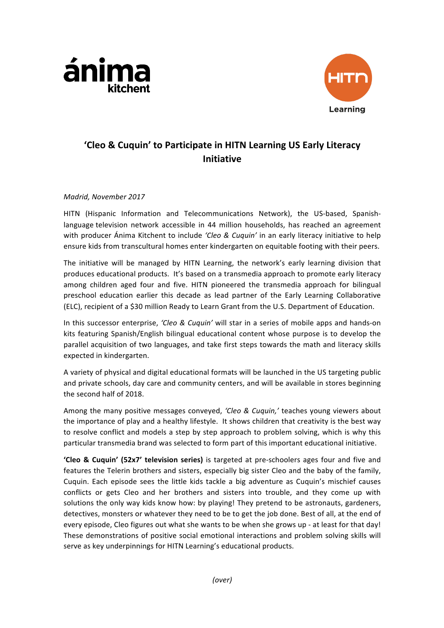



# **'Cleo & Cuquin' to Participate in HITN Learning US Early Literacy Initiative**

## *Madrid, November 2017*

HITN (Hispanic Information and Telecommunications Network), the US-based, Spanishlanguage television network accessible in 44 million households, has reached an agreement with producer Ánima Kitchent to include *'Cleo & Cuquin'* in an early literacy initiative to help ensure kids from transcultural homes enter kindergarten on equitable footing with their peers.

The initiative will be managed by HITN Learning, the network's early learning division that produces educational products. It's based on a transmedia approach to promote early literacy among children aged four and five. HITN pioneered the transmedia approach for bilingual preschool education earlier this decade as lead partner of the Early Learning Collaborative (ELC), recipient of a \$30 million Ready to Learn Grant from the U.S. Department of Education.

In this successor enterprise, 'Cleo & Cuquin' will star in a series of mobile apps and hands-on kits featuring Spanish/English bilingual educational content whose purpose is to develop the parallel acquisition of two languages, and take first steps towards the math and literacy skills expected in kindergarten.

A variety of physical and digital educational formats will be launched in the US targeting public and private schools, day care and community centers, and will be available in stores beginning the second half of 2018.

Among the many positive messages conveyed, 'Cleo & Cuquin,' teaches young viewers about the importance of play and a healthy lifestyle. It shows children that creativity is the best way to resolve conflict and models a step by step approach to problem solving, which is why this particular transmedia brand was selected to form part of this important educational initiative.

**'Cleo & Cuquin' (52x7' television series)** is targeted at pre-schoolers ages four and five and features the Telerin brothers and sisters, especially big sister Cleo and the baby of the family, Cuquin. Each episode sees the little kids tackle a big adventure as Cuquin's mischief causes conflicts or gets Cleo and her brothers and sisters into trouble, and they come up with solutions the only way kids know how: by playing! They pretend to be astronauts, gardeners, detectives, monsters or whatever they need to be to get the job done. Best of all, at the end of every episode, Cleo figures out what she wants to be when she grows up - at least for that day! These demonstrations of positive social emotional interactions and problem solving skills will serve as key underpinnings for HITN Learning's educational products.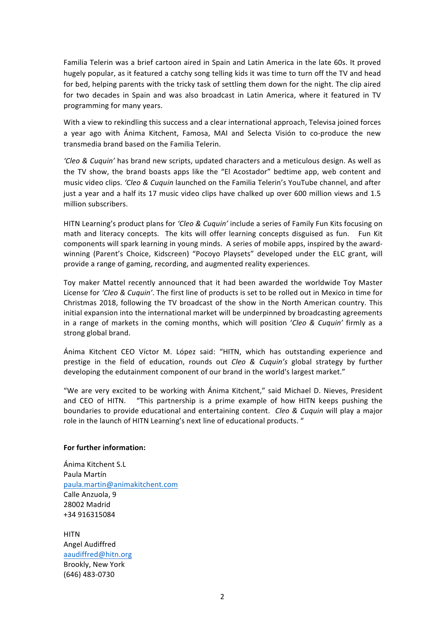Familia Telerin was a brief cartoon aired in Spain and Latin America in the late 60s. It proved hugely popular, as it featured a catchy song telling kids it was time to turn off the TV and head for bed, helping parents with the tricky task of settling them down for the night. The clip aired for two decades in Spain and was also broadcast in Latin America, where it featured in TV programming for many years.

With a view to rekindling this success and a clear international approach, Televisa joined forces a year ago with Ánima Kitchent, Famosa, MAI and Selecta Visión to co-produce the new transmedia brand based on the Familia Telerin.

*'Cleo* & *Cuquin'* has brand new scripts, updated characters and a meticulous design. As well as the TV show, the brand boasts apps like the "El Acostador" bedtime app, web content and music video clips. *'Cleo & Cuquin* launched on the Familia Telerin's YouTube channel, and after just a year and a half its 17 music video clips have chalked up over 600 million views and 1.5 million subscribers.

HITN Learning's product plans for *'Cleo & Cuquin'* include a series of Family Fun Kits focusing on math and literacy concepts. The kits will offer learning concepts disguised as fun. Fun Kit components will spark learning in young minds. A series of mobile apps, inspired by the awardwinning (Parent's Choice, Kidscreen) "Pocoyo Playsets" developed under the ELC grant, will provide a range of gaming, recording, and augmented reality experiences.

Toy maker Mattel recently announced that it had been awarded the worldwide Toy Master License for *'Cleo & Cuquin'*. The first line of products is set to be rolled out in Mexico in time for Christmas 2018, following the TV broadcast of the show in the North American country. This initial expansion into the international market will be underpinned by broadcasting agreements in a range of markets in the coming months, which will position '*Cleo* & *Cuquin'* firmly as a strong global brand.

Ánima Kitchent CEO Víctor M. López said: "HITN, which has outstanding experience and prestige in the field of education, rounds out *Cleo* & *Cuquin's* global strategy by further developing the edutainment component of our brand in the world's largest market."

"We are very excited to be working with Anima Kitchent," said Michael D. Nieves, President and CEO of HITN. "This partnership is a prime example of how HITN keeps pushing the boundaries to provide educational and entertaining content. *Cleo & Cuquin* will play a major role in the launch of HITN Learning's next line of educational products. "

## **For further information:**

Ánima Kitchent S.L Paula Martín [paula.martin@animakitchent.com](mailto:paula.martin@animakitchent.com) Calle Anzuola, 9 28002 Madrid +34 916315084

**HITN** Angel Audiffred [aaudiffred@hitn.org](mailto:aaudiffred@hitn.org) Brookly, New York (646) 483-0730